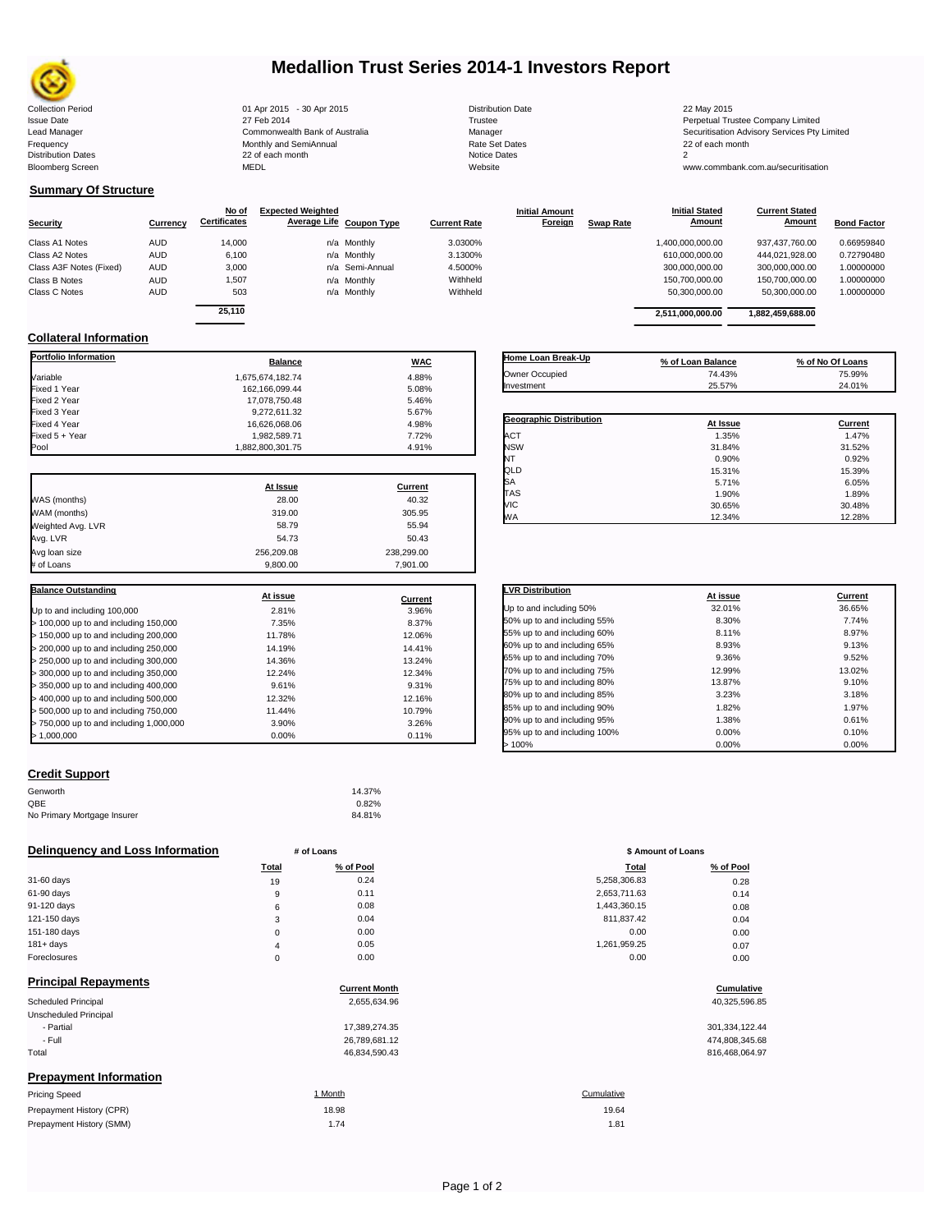

# **Medallion Trust Series 2014-1 Investors Report**

| <b>Collection Period</b>  | 01 Apr 2015 - 30 Apr 2015      | <b>Distribution Date</b> | 22 May 2015                             |
|---------------------------|--------------------------------|--------------------------|-----------------------------------------|
| <b>Issue Date</b>         | 27 Feb 2014                    | Trustee                  | Perpetual Trustee Company Limited       |
| Lead Manager              | Commonwealth Bank of Australia | Manager                  | Securitisation Advisory Services Pty Li |
| Frequency                 | Monthly and SemiAnnual         | Rate Set Dates           | 22 of each month                        |
| <b>Distribution Dates</b> | 22 of each month               | <b>Notice Dates</b>      |                                         |
| <b>Bloomberg Screen</b>   | MEDL                           | Website                  | www.commbank.com.au/securitisation      |
|                           |                                |                          |                                         |

16,626,068.06<br>1,982,589.71 7.72%

# **Summary Of Structure**

**Collateral Information**

|                         |            | No of               | <b>Expected Weighted</b> |                     | <b>Initial Amount</b> |                  | <b>Initial Stated</b> | <b>Current Stated</b> |                    |
|-------------------------|------------|---------------------|--------------------------|---------------------|-----------------------|------------------|-----------------------|-----------------------|--------------------|
| <b>Security</b>         | Currency   | <b>Certificates</b> | Average Life Coupon Type | <b>Current Rate</b> | <b>Foreign</b>        | <b>Swap Rate</b> | Amount                | <b>Amount</b>         | <b>Bond Factor</b> |
| Class A1 Notes          | <b>AUD</b> | 14,000              | n/a Monthly              | 3.0300%             |                       |                  | 1,400,000,000.00      | 937.437.760.00        | 0.66959840         |
| Class A2 Notes          | <b>AUD</b> | 6.100               | n/a Monthly              | 3.1300%             |                       |                  | 610.000.000.00        | 444.021.928.00        | 0.72790480         |
| Class A3F Notes (Fixed) | <b>AUD</b> | 3,000               | n/a Semi-Annual          | 4.5000%             |                       |                  | 300,000,000.00        | 300,000,000.00        | 1.00000000         |
| Class B Notes           | <b>AUD</b> | 1,507               | n/a Monthly              | Withheld            |                       |                  | 150,700,000.00        | 150,700,000.00        | 1.00000000         |
| Class C Notes           | <b>AUD</b> | 503                 | n/a Monthly              | Withheld            |                       |                  | 50.300.000.00         | 50.300.000.00         | 1.00000000         |
|                         |            |                     |                          |                     |                       |                  |                       |                       |                    |
|                         |            | 25.110              |                          |                     |                       |                  | 2.511.000.000.00      | 1.882.459.688.00      |                    |

**Portfolio Information**<br> **Balance Balance WAC** Variable 1,675,674,182.74 4.88% Fixed 1 Year 162,166,099.44 5.08% Fixed 2 Year 17,078,750.48 5.46% Fixed 3 Year 9,272,611.32 5.67%

| Home Loan Break-Up      | % of Loan Balance | % of No Of Loans |
|-------------------------|-------------------|------------------|
| Owner Occupied          | 74.43%            | 75.99%           |
| Investment              | 25.57%            | 24.01%           |
|                         |                   |                  |
| Geographic Distribution | At Issue          | Current          |
| ACT                     | 1.35%             | 1.47%            |
| <b>NSW</b>              | 31.84%            | 31.52%           |
| NΤ                      | 0.90%             | 0.92%            |
| QLD                     | 15.31%            | 15.39%           |
| SA                      | 5.71%             | 6.05%            |

VIC 30.65% 30.48% WA 12.34% 12.28%

| Fixed 5 + Year    | 1,982,589.71     | 7.72%      |
|-------------------|------------------|------------|
| Pool              | 1,882,800,301.75 | 4.91%      |
|                   |                  |            |
|                   | At Issue         | Current    |
| WAS (months)      | 28.00            | 40.32      |
| WAM (months)      | 319.00           | 305.95     |
| Weighted Avg. LVR | 58.79            | 55.94      |
| Avg. LVR          | 54.73            | 50.43      |
| Avg loan size     | 256.209.08       | 238,299.00 |
| # of Loans        | 9.800.00         | 7.901.00   |

| <b>Balance Outstanding</b>              |          |         |  |  |
|-----------------------------------------|----------|---------|--|--|
|                                         | At issue | Current |  |  |
| Up to and including 100,000             | 2.81%    | 3.96%   |  |  |
| > 100,000 up to and including 150,000   | 7.35%    | 8.37%   |  |  |
| > 150,000 up to and including 200,000   | 11.78%   | 12.06%  |  |  |
| > 200,000 up to and including 250,000   | 14.19%   | 14.41%  |  |  |
| > 250,000 up to and including 300,000   | 14.36%   | 13.24%  |  |  |
| > 300,000 up to and including 350,000   | 12.24%   | 12.34%  |  |  |
| > 350,000 up to and including 400,000   | 9.61%    | 9.31%   |  |  |
| > 400,000 up to and including 500,000   | 12.32%   | 12.16%  |  |  |
| > 500,000 up to and including 750,000   | 11.44%   | 10.79%  |  |  |
| > 750,000 up to and including 1,000,000 | 3.90%    | 3.26%   |  |  |
| >1.000.000                              | $0.00\%$ | 0.11%   |  |  |

# **Credit Support**

Prepayment History (SMM)

| Genworth                    | 14.37% |
|-----------------------------|--------|
| QBE                         | 0.82%  |
| No Primary Mortgage Insurer | 84.81% |

### **Delinquency and Loss Information # of Loans # of Loans \$ Amount of Loans**

|              | Total          | % of Pool | <b>Total</b> | % of Pool |
|--------------|----------------|-----------|--------------|-----------|
| 31-60 days   | 19             | 0.24      | 5,258,306.83 | 0.28      |
| 61-90 days   | 9              | 0.11      | 2,653,711.63 | 0.14      |
| 91-120 days  | 6              | 0.08      | 1,443,360.15 | 0.08      |
| 121-150 days | 3              | 0.04      | 811,837.42   | 0.04      |
| 151-180 days | $\mathbf 0$    | 0.00      | 0.00         | 0.00      |
| $181 + days$ | $\overline{4}$ | 0.05      | 1,261,959.25 | 0.07      |
| Foreclosures | $\Omega$       | 0.00      | 0.00         | 0.00      |
|              |                |           |              |           |

| <b>Principal Repayments</b>   |                      |                |
|-------------------------------|----------------------|----------------|
|                               | <b>Current Month</b> | Cumulative     |
| Scheduled Principal           | 2.655.634.96         | 40,325,596.85  |
| Unscheduled Principal         |                      |                |
| - Partial                     | 17,389,274.35        | 301,334,122.44 |
| - Full                        | 26,789,681.12        | 474,808,345.68 |
| Total                         | 46,834,590.43        | 816,468,064.97 |
| <b>Prepayment Information</b> |                      |                |
| <b>Pricing Speed</b>          | 1 Month              | Cumulative     |
| Prepayment History (CPR)      | 18.98                | 19.64          |

| <b>LVR Distribution</b>      | At issue | Current |
|------------------------------|----------|---------|
| Up to and including 50%      | 32.01%   | 36.65%  |
| 50% up to and including 55%  | 8.30%    | 7.74%   |
| 55% up to and including 60%  | 8.11%    | 8.97%   |
| 60% up to and including 65%  | 8.93%    | 9.13%   |
| 65% up to and including 70%  | 9.36%    | 9.52%   |
| 70% up to and including 75%  | 12.99%   | 13.02%  |
| 75% up to and including 80%  | 13.87%   | 9.10%   |
| 80% up to and including 85%  | 3.23%    | 3.18%   |
| 85% up to and including 90%  | 1.82%    | 1.97%   |
| 90% up to and including 95%  | 1.38%    | 0.61%   |
| 95% up to and including 100% | 0.00%    | 0.10%   |
| >100%                        | 0.00%    | 0.00%   |

| Total          | % of Pool | Total        | % of Pool |
|----------------|-----------|--------------|-----------|
| 19             | 0.24      | 5,258,306.83 | 0.28      |
| 9              | 0.11      | 2,653,711.63 | 0.14      |
| 6              | 0.08      | 1,443,360.15 | 0.08      |
| 3              | 0.04      | 811,837.42   | 0.04      |
| 0              | 0.00      | 0.00         | 0.00      |
| $\overline{4}$ | 0.05      | 1,261,959.25 | 0.07      |
| 0              | 0.00      | 0.00         | 0.00      |
|                |           |              |           |

# **Cumulative**

| 301, 334, 122.44 |  |
|------------------|--|
| 474,808,345.68   |  |
| 816,468,064.97   |  |

 $1.74$  1.81

Page 1 of 2